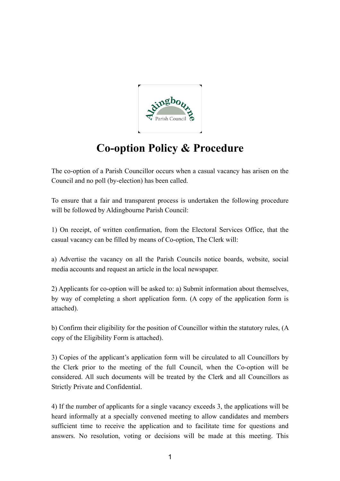

## **Co-option Policy & Procedure**

The co-option of a Parish Councillor occurs when a casual vacancy has arisen on the Council and no poll (by-election) has been called.

To ensure that a fair and transparent process is undertaken the following procedure will be followed by Aldingbourne Parish Council:

1) On receipt, of written confirmation, from the Electoral Services Office, that the casual vacancy can be filled by means of Co-option, The Clerk will:

a) Advertise the vacancy on all the Parish Councils notice boards, website, social media accounts and request an article in the local newspaper.

2) Applicants for co-option will be asked to: a) Submit information about themselves, by way of completing a short application form. (A copy of the application form is attached).

b) Confirm their eligibility for the position of Councillor within the statutory rules, (A copy of the Eligibility Form is attached).

3) Copies of the applicant's application form will be circulated to all Councillors by the Clerk prior to the meeting of the full Council, when the Co-option will be considered. All such documents will be treated by the Clerk and all Councillors as Strictly Private and Confidential.

4) If the number of applicants for a single vacancy exceeds 3, the applications will be heard informally at a specially convened meeting to allow candidates and members sufficient time to receive the application and to facilitate time for questions and answers. No resolution, voting or decisions will be made at this meeting. This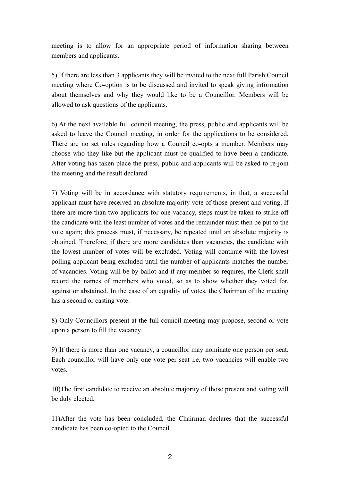meeting is to allow for an appropriate period of information sharing between members and applicants.

5) If there are less than 3 applicants they will be invited to the next full Parish Council meeting where Co-option is to be discussed and invited to speak giving information about themselves and why they would like to be a Councillor. Members will be allowed to ask questions of the applicants.

6) At the next available full council meeting, the press, public and applicants will be asked to leave the Council meeting, in order for the applications to be considered. There are no set rules regarding how a Council co-opts a member. Members may choose who they like but the applicant must be qualified to have been a candidate. After voting has taken place the press, public and applicants will be asked to re-join the meeting and the result declared.

7) Voting will be in accordance with statutory requirements, in that, a successful applicant must have received an absolute majority vote of those present and voting. If there are more than two applicants for one vacancy, steps must be taken to strike off the candidate with the least number of votes and the remainder must then be put to the vote again; this process must, if necessary, be repeated until an absolute majority is obtained. Therefore, if there are more candidates than vacancies, the candidate with the lowest number of votes will be excluded. Voting will continue with the lowest polling applicant being excluded until the number of applicants matches the number of vacancies. Voting will be by ballot and if any member so requires, the Clerk shall record the names of members who voted, so as to show whether they voted for, against or abstained. In the case of an equality of votes, the Chairman of the meeting has a second or casting vote.

8) Only Councillors present at the full council meeting may propose, second or vote upon a person to fill the vacancy.

9) If there is more than one vacancy, a councillor may nominate one person per seat. Each councillor will have only one vote per seat i.e. two vacancies will enable two votes.

10)The first candidate to receive an absolute majority of those present and voting will be duly elected.

11)After the vote has been concluded, the Chairman declares that the successful candidate has been co-opted to the Council.